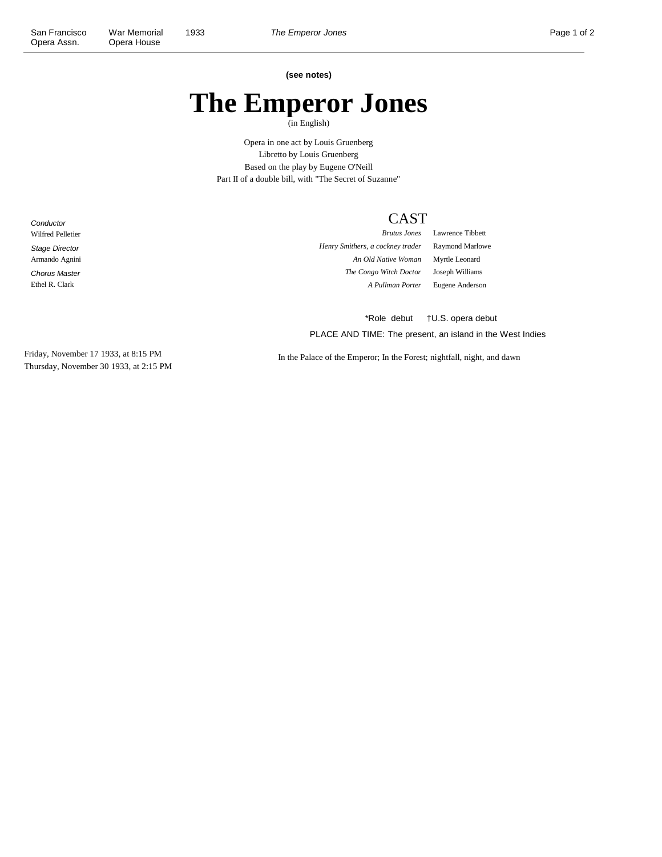**Conductor** Wilfred Pelletier Stage Director Armando Agnini Chorus Master Ethel R. Clark

**(see notes)**

## **The Emperor Jones**

(in English)

Opera in one act by Louis Gruenberg Libretto by Louis Gruenberg Based on the play by Eugene O'Neill Part II of a double bill, with "The Secret of Suzanne"

## CAST

*Henry Smithers, a cockney trader* Raymond Marlowe *An Old Native Woman* Myrtle Leonard *The Congo Witch Doctor* Joseph Williams

*Brutus Jones* Lawrence Tibbett *A Pullman Porter* Eugene Anderson

PLACE AND TIME: The present, an island in the West Indies \*Role debut †U.S. opera debut

Friday, November 17 1933, at 8:15 PM Thursday, November 30 1933, at 2:15 PM

In the Palace of the Emperor; In the Forest; nightfall, night, and dawn